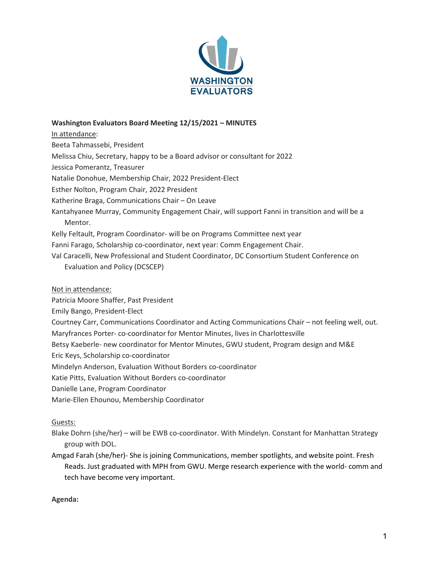

## Washington Evaluators Board Meeting 12/15/2021 – MINUTES

In attendance:

Beeta Tahmassebi, President

Melissa Chiu, Secretary, happy to be a Board advisor or consultant for 2022

Jessica Pomerantz, Treasurer

Natalie Donohue, Membership Chair, 2022 President-Elect

Esther Nolton, Program Chair, 2022 President

Katherine Braga, Communications Chair – On Leave

- Kantahyanee Murray, Community Engagement Chair, will support Fanni in transition and will be a Mentor.
- Kelly Feltault, Program Coordinator- will be on Programs Committee next year
- Fanni Farago, Scholarship co-coordinator, next year: Comm Engagement Chair.
- Val Caracelli, New Professional and Student Coordinator, DC Consortium Student Conference on Evaluation and Policy (DCSCEP)

#### Not in attendance:

Patricia Moore Shaffer, Past President

- Emily Bango, President-Elect
- Courtney Carr, Communications Coordinator and Acting Communications Chair not feeling well, out.
- Maryfrances Porter- co-coordinator for Mentor Minutes, lives in Charlottesville

Betsy Kaeberle- new coordinator for Mentor Minutes, GWU student, Program design and M&E

Eric Keys, Scholarship co-coordinator

Mindelyn Anderson, Evaluation Without Borders co-coordinator

Katie Pitts, Evaluation Without Borders co-coordinator

- Danielle Lane, Program Coordinator
- Marie-Ellen Ehounou, Membership Coordinator

## Guests:

Blake Dohrn (she/her) – will be EWB co-coordinator. With Mindelyn. Constant for Manhattan Strategy group with DOL.

Amgad Farah (she/her)- She is joining Communications, member spotlights, and website point. Fresh Reads. Just graduated with MPH from GWU. Merge research experience with the world- comm and tech have become very important.

Agenda: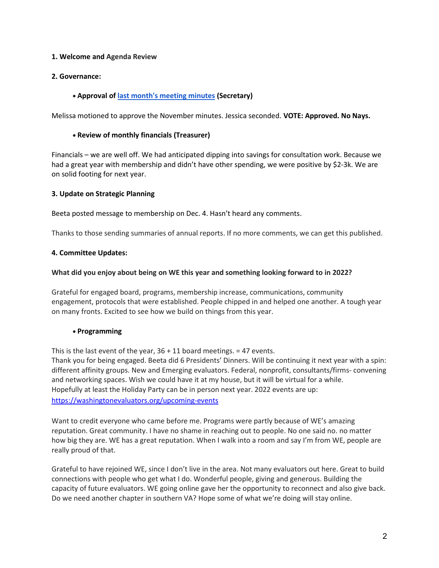## 1. Welcome and Agenda Review

## 2. Governance:

## Approval of last month's meeting minutes (Secretary)

Melissa motioned to approve the November minutes. Jessica seconded. VOTE: Approved. No Nays.

#### Review of monthly financials (Treasurer)

Financials – we are well off. We had anticipated dipping into savings for consultation work. Because we had a great year with membership and didn't have other spending, we were positive by \$2-3k. We are on solid footing for next year.

## 3. Update on Strategic Planning

Beeta posted message to membership on Dec. 4. Hasn't heard any comments.

Thanks to those sending summaries of annual reports. If no more comments, we can get this published.

## 4. Committee Updates:

## What did you enjoy about being on WE this year and something looking forward to in 2022?

Grateful for engaged board, programs, membership increase, communications, community engagement, protocols that were established. People chipped in and helped one another. A tough year on many fronts. Excited to see how we build on things from this year.

#### Programming

This is the last event of the year,  $36 + 11$  board meetings. = 47 events. Thank you for being engaged. Beeta did 6 Presidents' Dinners. Will be continuing it next year with a spin: different affinity groups. New and Emerging evaluators. Federal, nonprofit, consultants/firms- convening and networking spaces. Wish we could have it at my house, but it will be virtual for a while. Hopefully at least the Holiday Party can be in person next year. 2022 events are up: https://washingtonevaluators.org/upcoming-events

Want to credit everyone who came before me. Programs were partly because of WE's amazing reputation. Great community. I have no shame in reaching out to people. No one said no. no matter how big they are. WE has a great reputation. When I walk into a room and say I'm from WE, people are really proud of that.

Grateful to have rejoined WE, since I don't live in the area. Not many evaluators out here. Great to build connections with people who get what I do. Wonderful people, giving and generous. Building the capacity of future evaluators. WE going online gave her the opportunity to reconnect and also give back. Do we need another chapter in southern VA? Hope some of what we're doing will stay online.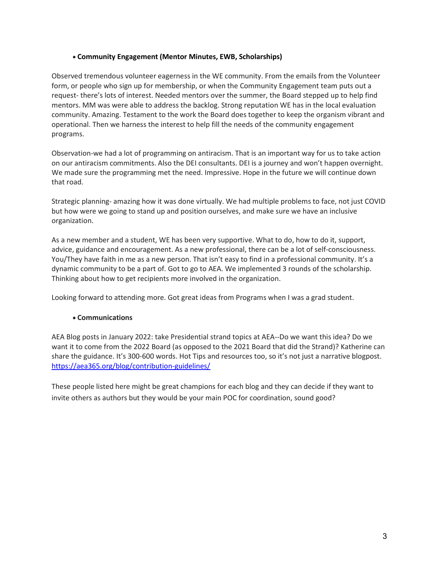## Community Engagement (Mentor Minutes, EWB, Scholarships)

Observed tremendous volunteer eagerness in the WE community. From the emails from the Volunteer form, or people who sign up for membership, or when the Community Engagement team puts out a request- there's lots of interest. Needed mentors over the summer, the Board stepped up to help find mentors. MM was were able to address the backlog. Strong reputation WE has in the local evaluation community. Amazing. Testament to the work the Board does together to keep the organism vibrant and operational. Then we harness the interest to help fill the needs of the community engagement programs.

Observation-we had a lot of programming on antiracism. That is an important way for us to take action on our antiracism commitments. Also the DEI consultants. DEI is a journey and won't happen overnight. We made sure the programming met the need. Impressive. Hope in the future we will continue down that road.

Strategic planning- amazing how it was done virtually. We had multiple problems to face, not just COVID but how were we going to stand up and position ourselves, and make sure we have an inclusive organization.

As a new member and a student, WE has been very supportive. What to do, how to do it, support, advice, guidance and encouragement. As a new professional, there can be a lot of self-consciousness. You/They have faith in me as a new person. That isn't easy to find in a professional community. It's a dynamic community to be a part of. Got to go to AEA. We implemented 3 rounds of the scholarship. Thinking about how to get recipients more involved in the organization.

Looking forward to attending more. Got great ideas from Programs when I was a grad student.

# Communications

AEA Blog posts in January 2022: take Presidential strand topics at AEA--Do we want this idea? Do we want it to come from the 2022 Board (as opposed to the 2021 Board that did the Strand)? Katherine can share the guidance. It's 300-600 words. Hot Tips and resources too, so it's not just a narrative blogpost. https://aea365.org/blog/contribution-guidelines/

These people listed here might be great champions for each blog and they can decide if they want to invite others as authors but they would be your main POC for coordination, sound good?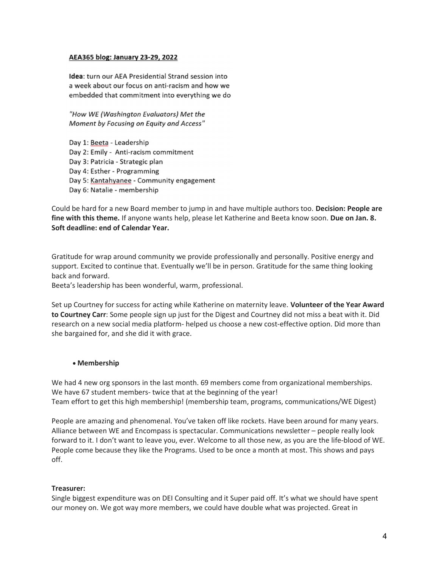#### AEA365 blog: January 23-29, 2022

**Idea:** turn our AEA Presidential Strand session into a week about our focus on anti-racism and how we embedded that commitment into everything we do

"How WE (Washington Evaluators) Met the Moment by Focusing on Equity and Access"

Day 1: Beeta - Leadership Day 2: Emily - Anti-racism commitment Day 3: Patricia - Strategic plan Day 4: Esther - Programming Day 5: Kantahyanee - Community engagement Day 6: Natalie - membership

Could be hard for a new Board member to jump in and have multiple authors too. Decision: People are fine with this theme. If anyone wants help, please let Katherine and Beeta know soon. Due on Jan. 8. Soft deadline: end of Calendar Year.

Gratitude for wrap around community we provide professionally and personally. Positive energy and support. Excited to continue that. Eventually we'll be in person. Gratitude for the same thing looking back and forward.

Beeta's leadership has been wonderful, warm, professional.

Set up Courtney for success for acting while Katherine on maternity leave. Volunteer of the Year Award to Courtney Carr: Some people sign up just for the Digest and Courtney did not miss a beat with it. Did research on a new social media platform- helped us choose a new cost-effective option. Did more than she bargained for, and she did it with grace.

## Membership

We had 4 new org sponsors in the last month. 69 members come from organizational memberships. We have 67 student members- twice that at the beginning of the year! Team effort to get this high membership! (membership team, programs, communications/WE Digest)

People are amazing and phenomenal. You've taken off like rockets. Have been around for many years. Alliance between WE and Encompass is spectacular. Communications newsletter – people really look forward to it. I don't want to leave you, ever. Welcome to all those new, as you are the life-blood of WE. People come because they like the Programs. Used to be once a month at most. This shows and pays off.

#### Treasurer:

Single biggest expenditure was on DEI Consulting and it Super paid off. It's what we should have spent our money on. We got way more members, we could have double what was projected. Great in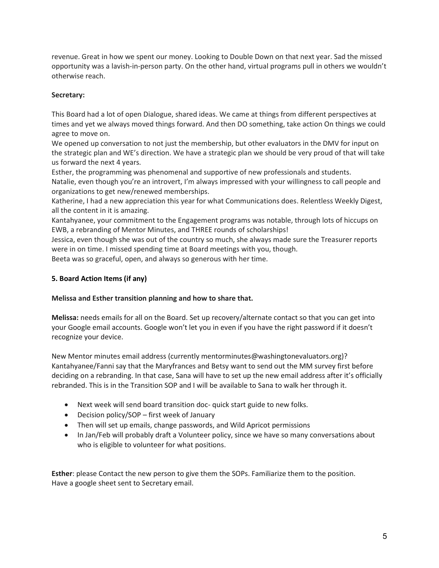revenue. Great in how we spent our money. Looking to Double Down on that next year. Sad the missed opportunity was a lavish-in-person party. On the other hand, virtual programs pull in others we wouldn't otherwise reach.

# Secretary:

This Board had a lot of open Dialogue, shared ideas. We came at things from different perspectives at times and yet we always moved things forward. And then DO something, take action On things we could agree to move on.

We opened up conversation to not just the membership, but other evaluators in the DMV for input on the strategic plan and WE's direction. We have a strategic plan we should be very proud of that will take us forward the next 4 years.

Esther, the programming was phenomenal and supportive of new professionals and students.

Natalie, even though you're an introvert, I'm always impressed with your willingness to call people and organizations to get new/renewed memberships.

Katherine, I had a new appreciation this year for what Communications does. Relentless Weekly Digest, all the content in it is amazing.

Kantahyanee, your commitment to the Engagement programs was notable, through lots of hiccups on EWB, a rebranding of Mentor Minutes, and THREE rounds of scholarships!

Jessica, even though she was out of the country so much, she always made sure the Treasurer reports were in on time. I missed spending time at Board meetings with you, though.

Beeta was so graceful, open, and always so generous with her time.

# 5. Board Action Items (if any)

# Melissa and Esther transition planning and how to share that.

Melissa: needs emails for all on the Board. Set up recovery/alternate contact so that you can get into your Google email accounts. Google won't let you in even if you have the right password if it doesn't recognize your device.

New Mentor minutes email address (currently mentorminutes@washingtonevaluators.org)? Kantahyanee/Fanni say that the Maryfrances and Betsy want to send out the MM survey first before deciding on a rebranding. In that case, Sana will have to set up the new email address after it's officially rebranded. This is in the Transition SOP and I will be available to Sana to walk her through it.

- Next week will send board transition doc- quick start guide to new folks.
- Decision policy/SOP first week of January
- Then will set up emails, change passwords, and Wild Apricot permissions
- In Jan/Feb will probably draft a Volunteer policy, since we have so many conversations about who is eligible to volunteer for what positions.

Esther: please Contact the new person to give them the SOPs. Familiarize them to the position. Have a google sheet sent to Secretary email.